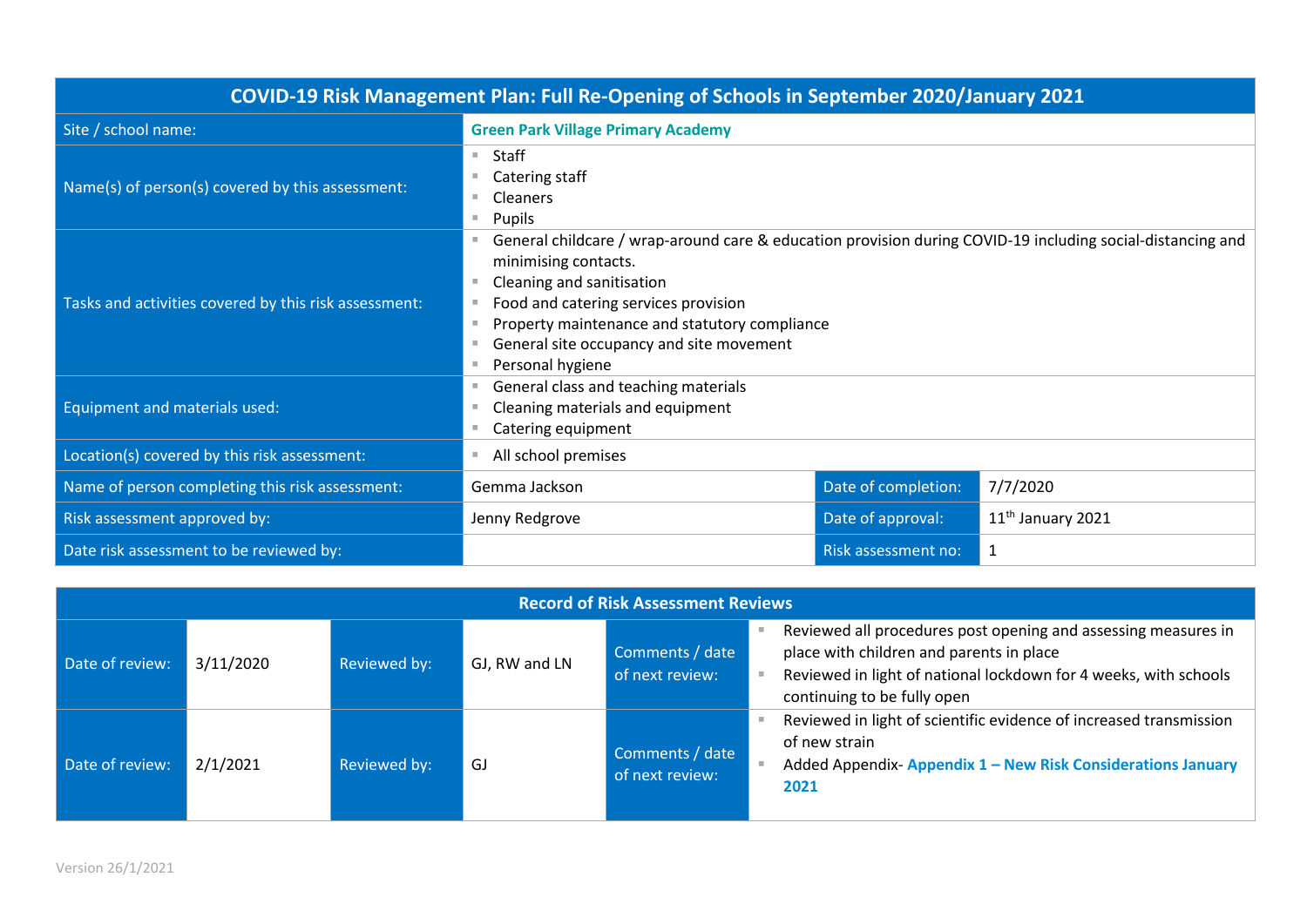| COVID-19 Risk Management Plan: Full Re-Opening of Schools in September 2020/January 2021 |                                                                                                                                                                                                                                                                                                                          |                     |                     |  |
|------------------------------------------------------------------------------------------|--------------------------------------------------------------------------------------------------------------------------------------------------------------------------------------------------------------------------------------------------------------------------------------------------------------------------|---------------------|---------------------|--|
| Site / school name:                                                                      | <b>Green Park Village Primary Academy</b>                                                                                                                                                                                                                                                                                |                     |                     |  |
| Name(s) of person(s) covered by this assessment:                                         | Staff<br>u.<br>Catering staff<br><b>Cleaners</b><br>Pupils<br>×.                                                                                                                                                                                                                                                         |                     |                     |  |
| Tasks and activities covered by this risk assessment:                                    | General childcare / wrap-around care & education provision during COVID-19 including social-distancing and<br>minimising contacts.<br>Cleaning and sanitisation<br>Food and catering services provision<br>Property maintenance and statutory compliance<br>General site occupancy and site movement<br>Personal hygiene |                     |                     |  |
| <b>Equipment and materials used:</b>                                                     | General class and teaching materials<br>Cleaning materials and equipment<br>Catering equipment<br>٠                                                                                                                                                                                                                      |                     |                     |  |
| Location(s) covered by this risk assessment:                                             | All school premises                                                                                                                                                                                                                                                                                                      |                     |                     |  |
| Name of person completing this risk assessment:                                          | Gemma Jackson                                                                                                                                                                                                                                                                                                            | Date of completion: | 7/7/2020            |  |
| Risk assessment approved by:                                                             | Jenny Redgrove                                                                                                                                                                                                                                                                                                           | Date of approval:   | $11th$ January 2021 |  |
| Date risk assessment to be reviewed by:                                                  |                                                                                                                                                                                                                                                                                                                          | Risk assessment no: | 1                   |  |

| <b>Record of Risk Assessment Reviews</b> |           |              |               |                                    |  |                                                                                                                                                                                                               |
|------------------------------------------|-----------|--------------|---------------|------------------------------------|--|---------------------------------------------------------------------------------------------------------------------------------------------------------------------------------------------------------------|
| Date of review:                          | 3/11/2020 | Reviewed by: | GJ, RW and LN | Comments / date<br>of next review: |  | Reviewed all procedures post opening and assessing measures in<br>place with children and parents in place<br>Reviewed in light of national lockdown for 4 weeks, with schools<br>continuing to be fully open |
| Date of review:                          | 2/1/2021  | Reviewed by: | GJ            | Comments / date<br>of next review: |  | Reviewed in light of scientific evidence of increased transmission<br>of new strain<br>Added Appendix-Appendix 1 - New Risk Considerations January<br>2021                                                    |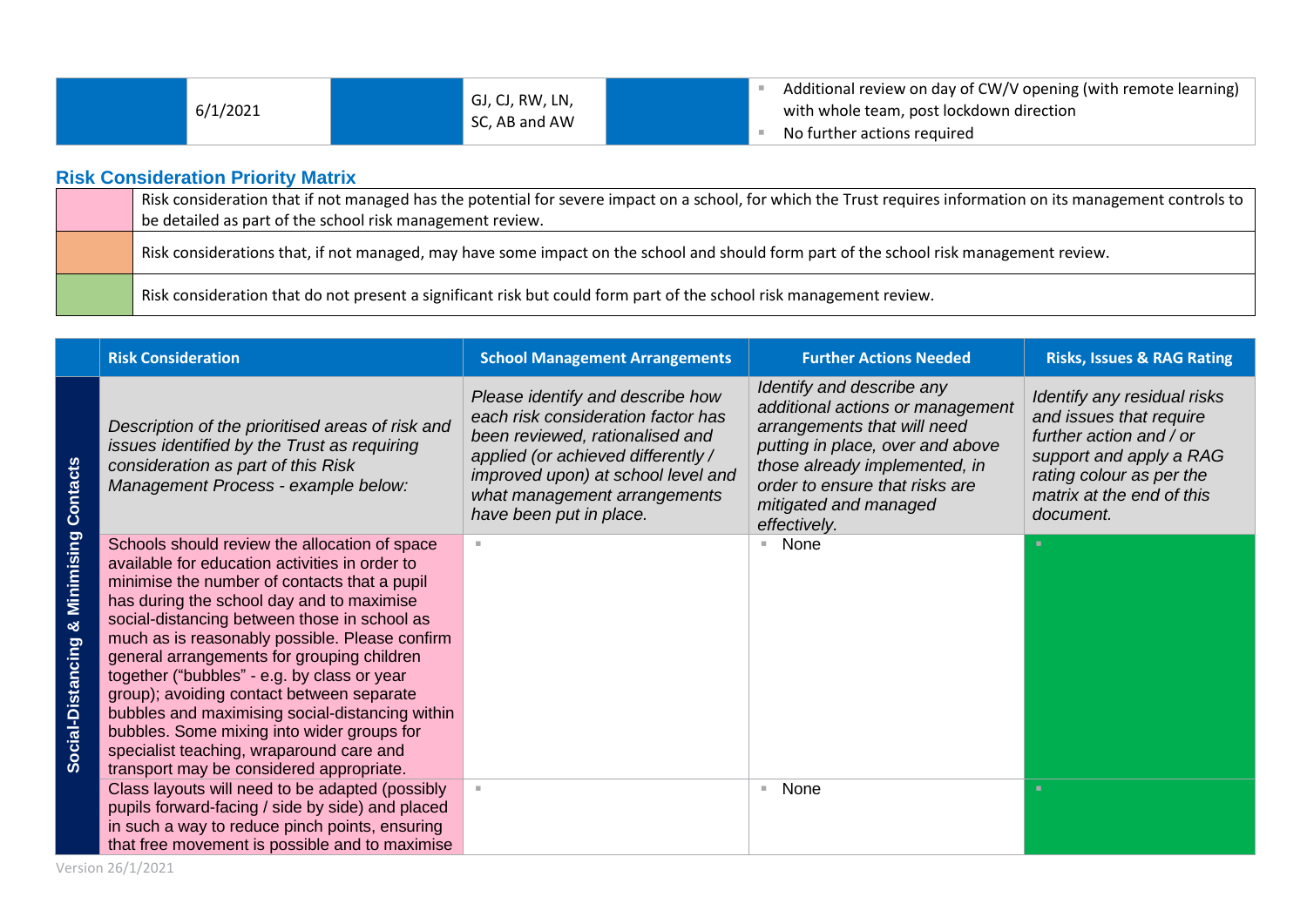■ Additional review on day of CW/V opening (with remote learning) with whole team, post lockdown direction ■ No further actions required

## **Risk Consideration Priority Matrix**

| Risk consideration that if not managed has the potential for severe impact on a school, for which the Trust requires information on its management controls to |
|----------------------------------------------------------------------------------------------------------------------------------------------------------------|
| be detailed as part of the school risk management review.                                                                                                      |
| Risk considerations that, if not managed, may have some impact on the school and should form part of the school risk management review.                        |
| Risk consideration that do not present a significant risk but could form part of the school risk management review.                                            |

|                                      | <b>Risk Consideration</b>                                                                                                                                                                                                                                                                                                                                                                                                                                                                                                                                                                                                         | <b>School Management Arrangements</b>                                                                                                                                                                                                            | <b>Further Actions Needed</b>                                                                                                                                                                                                                | <b>Risks, Issues &amp; RAG Rating</b>                                                                                                                                              |
|--------------------------------------|-----------------------------------------------------------------------------------------------------------------------------------------------------------------------------------------------------------------------------------------------------------------------------------------------------------------------------------------------------------------------------------------------------------------------------------------------------------------------------------------------------------------------------------------------------------------------------------------------------------------------------------|--------------------------------------------------------------------------------------------------------------------------------------------------------------------------------------------------------------------------------------------------|----------------------------------------------------------------------------------------------------------------------------------------------------------------------------------------------------------------------------------------------|------------------------------------------------------------------------------------------------------------------------------------------------------------------------------------|
| <b>Contacts</b>                      | Description of the prioritised areas of risk and<br>issues identified by the Trust as requiring<br>consideration as part of this Risk<br>Management Process - example below:                                                                                                                                                                                                                                                                                                                                                                                                                                                      | Please identify and describe how<br>each risk consideration factor has<br>been reviewed, rationalised and<br>applied (or achieved differently /<br>improved upon) at school level and<br>what management arrangements<br>have been put in place. | Identify and describe any<br>additional actions or management<br>arrangements that will need<br>putting in place, over and above<br>those already implemented, in<br>order to ensure that risks are<br>mitigated and managed<br>effectively. | Identify any residual risks<br>and issues that require<br>further action and / or<br>support and apply a RAG<br>rating colour as per the<br>matrix at the end of this<br>document. |
| Minimising<br>ಜ<br>Social-Distancing | Schools should review the allocation of space<br>available for education activities in order to<br>minimise the number of contacts that a pupil<br>has during the school day and to maximise<br>social-distancing between those in school as<br>much as is reasonably possible. Please confirm<br>general arrangements for grouping children<br>together ("bubbles" - e.g. by class or year<br>group); avoiding contact between separate<br>bubbles and maximising social-distancing within<br>bubbles. Some mixing into wider groups for<br>specialist teaching, wraparound care and<br>transport may be considered appropriate. |                                                                                                                                                                                                                                                  | None                                                                                                                                                                                                                                         |                                                                                                                                                                                    |
|                                      | Class layouts will need to be adapted (possibly<br>pupils forward-facing / side by side) and placed<br>in such a way to reduce pinch points, ensuring<br>that free movement is possible and to maximise                                                                                                                                                                                                                                                                                                                                                                                                                           |                                                                                                                                                                                                                                                  | None<br>ш                                                                                                                                                                                                                                    | ж.                                                                                                                                                                                 |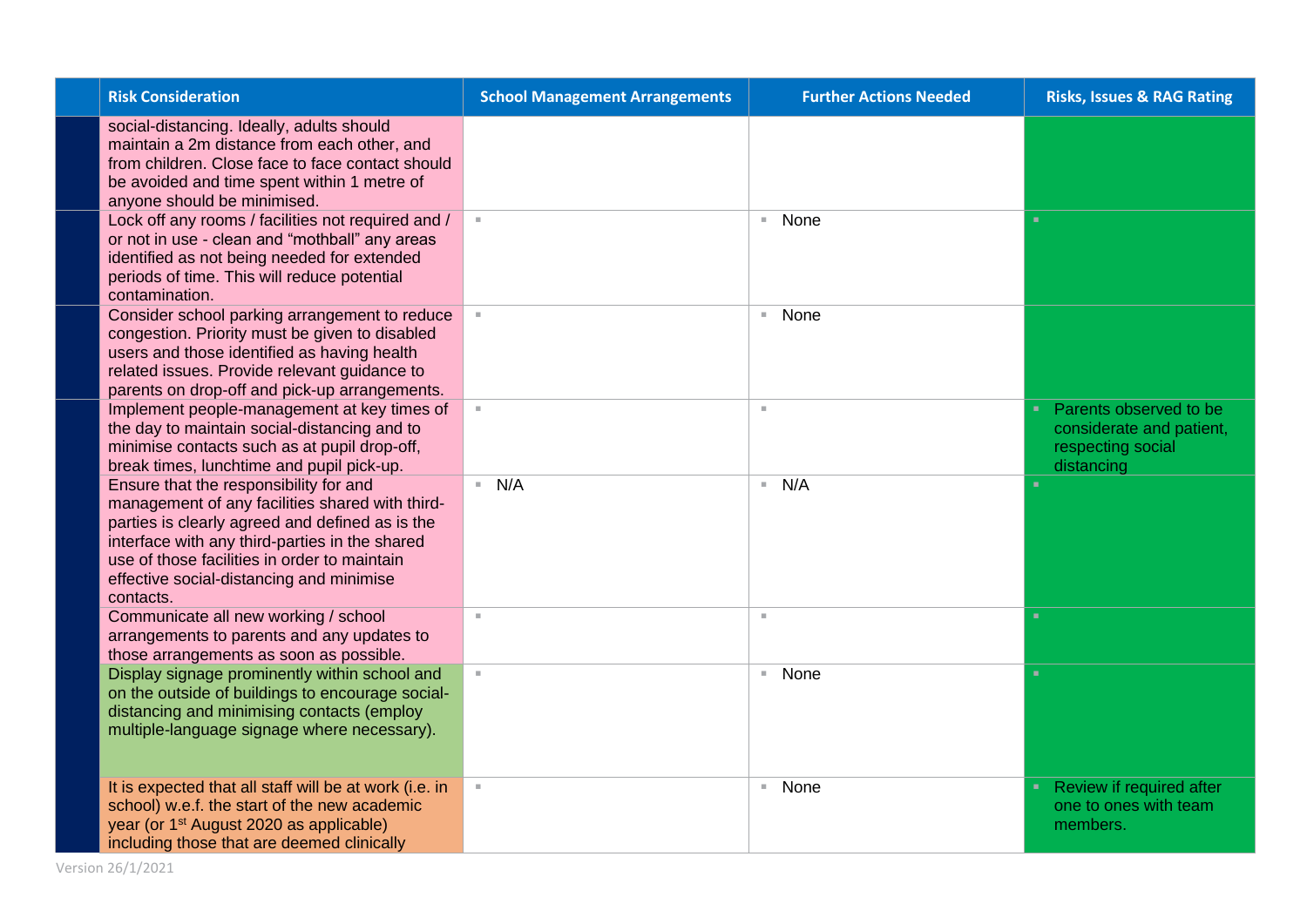| <b>Risk Consideration</b>                                                                                                                                                                                                                                                                               | <b>School Management Arrangements</b> | <b>Further Actions Needed</b> | <b>Risks, Issues &amp; RAG Rating</b>                                                 |
|---------------------------------------------------------------------------------------------------------------------------------------------------------------------------------------------------------------------------------------------------------------------------------------------------------|---------------------------------------|-------------------------------|---------------------------------------------------------------------------------------|
| social-distancing. Ideally, adults should<br>maintain a 2m distance from each other, and<br>from children. Close face to face contact should<br>be avoided and time spent within 1 metre of<br>anyone should be minimised.                                                                              |                                       |                               |                                                                                       |
| Lock off any rooms / facilities not required and /<br>or not in use - clean and "mothball" any areas<br>identified as not being needed for extended<br>periods of time. This will reduce potential<br>contamination.                                                                                    | $\mathbb{R}^n$                        | None<br>$\mathbb{R}^n$ .      | $\mathbf{u}$                                                                          |
| Consider school parking arrangement to reduce<br>congestion. Priority must be given to disabled<br>users and those identified as having health<br>related issues. Provide relevant guidance to<br>parents on drop-off and pick-up arrangements.                                                         | $\mathbb{R}^n$                        | None<br>$\mathbb{R}^n$        |                                                                                       |
| Implement people-management at key times of<br>the day to maintain social-distancing and to<br>minimise contacts such as at pupil drop-off,<br>break times, lunchtime and pupil pick-up.                                                                                                                |                                       | ×                             | Parents observed to be<br>considerate and patient,<br>respecting social<br>distancing |
| Ensure that the responsibility for and<br>management of any facilities shared with third-<br>parties is clearly agreed and defined as is the<br>interface with any third-parties in the shared<br>use of those facilities in order to maintain<br>effective social-distancing and minimise<br>contacts. | N/A                                   | N/A<br>$\mathbb{R}^n$ .       | ٠                                                                                     |
| Communicate all new working / school<br>arrangements to parents and any updates to<br>those arrangements as soon as possible.                                                                                                                                                                           | $\mathbb{R}^d$                        | $\mathbb{R}^2$                | ٠                                                                                     |
| Display signage prominently within school and<br>on the outside of buildings to encourage social-<br>distancing and minimising contacts (employ<br>multiple-language signage where necessary).                                                                                                          | $\mathbb{R}^n$                        | None<br>$\mathbb{R}^n$ .      | $\mathbf{u}$                                                                          |
| It is expected that all staff will be at work (i.e. in<br>school) w.e.f. the start of the new academic<br>year (or 1 <sup>st</sup> August 2020 as applicable)<br>including those that are deemed clinically                                                                                             | $\alpha$                              | None<br>$\mathbb{R}^n$ .      | Review if required after<br>٠<br>one to ones with team<br>members.                    |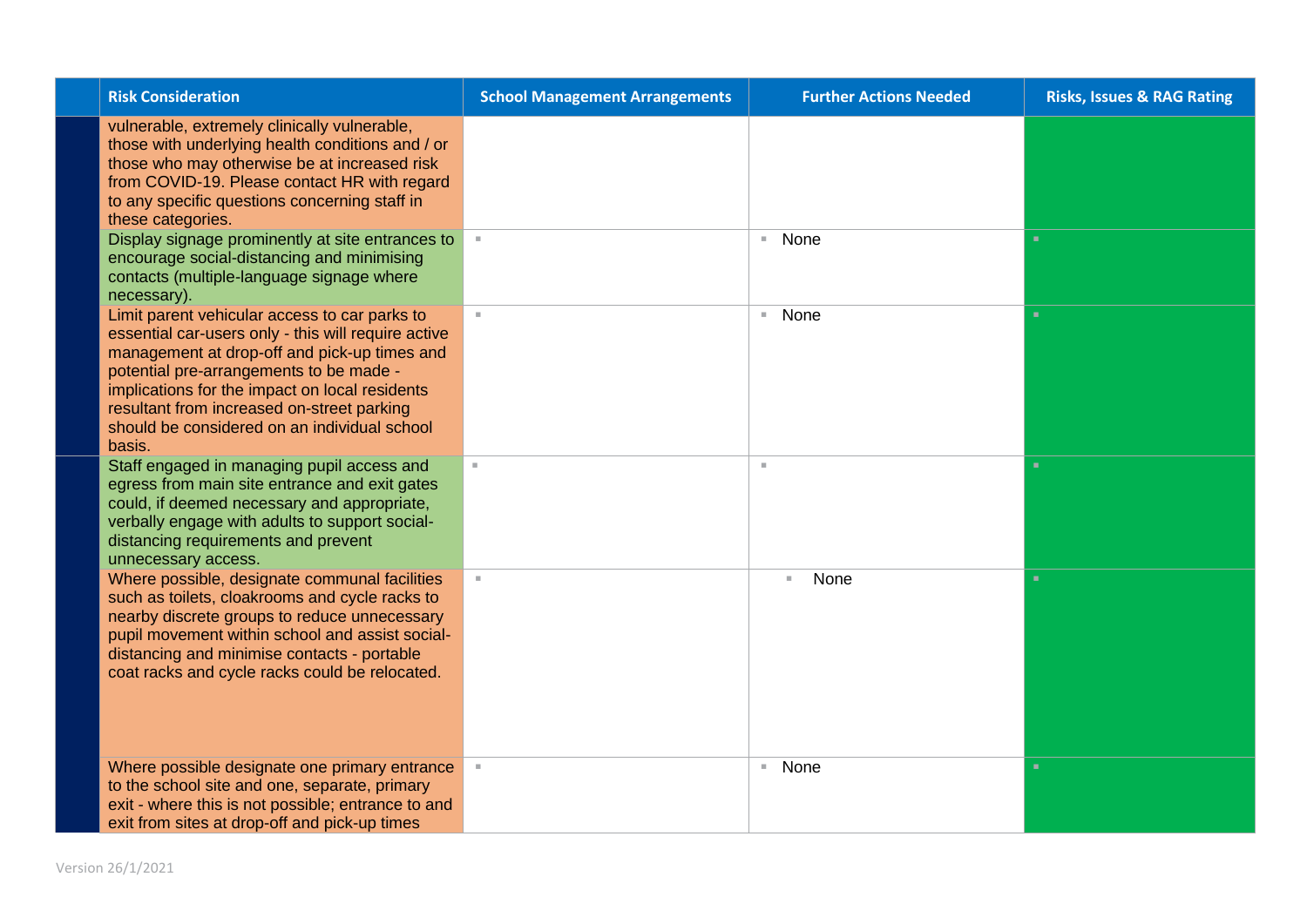| <b>Risk Consideration</b>                                                                                                                                                                                                                                                                                                                                 | <b>School Management Arrangements</b> | <b>Further Actions Needed</b> | <b>Risks, Issues &amp; RAG Rating</b> |
|-----------------------------------------------------------------------------------------------------------------------------------------------------------------------------------------------------------------------------------------------------------------------------------------------------------------------------------------------------------|---------------------------------------|-------------------------------|---------------------------------------|
| vulnerable, extremely clinically vulnerable,<br>those with underlying health conditions and / or<br>those who may otherwise be at increased risk<br>from COVID-19. Please contact HR with regard<br>to any specific questions concerning staff in<br>these categories.                                                                                    |                                       |                               |                                       |
| Display signage prominently at site entrances to<br>encourage social-distancing and minimising<br>contacts (multiple-language signage where<br>necessary).                                                                                                                                                                                                |                                       | None<br>$\mathbb{R}^+$        | ٠                                     |
| Limit parent vehicular access to car parks to<br>essential car-users only - this will require active<br>management at drop-off and pick-up times and<br>potential pre-arrangements to be made -<br>implications for the impact on local residents<br>resultant from increased on-street parking<br>should be considered on an individual school<br>basis. | $\mathbb{R}^n$                        | None<br>$\mathbb{R}^n$ .      | $\blacksquare$                        |
| Staff engaged in managing pupil access and<br>egress from main site entrance and exit gates<br>could, if deemed necessary and appropriate,<br>verbally engage with adults to support social-<br>distancing requirements and prevent<br>unnecessary access.                                                                                                | $\alpha$                              | $\mathbf{u}$                  | ×                                     |
| Where possible, designate communal facilities<br>such as toilets, cloakrooms and cycle racks to<br>nearby discrete groups to reduce unnecessary<br>pupil movement within school and assist social-<br>distancing and minimise contacts - portable<br>coat racks and cycle racks could be relocated.                                                       | $\mathbb{R}^n$                        | None<br>Π.                    | $\mathbf{u}$                          |
| Where possible designate one primary entrance<br>to the school site and one, separate, primary<br>exit - where this is not possible; entrance to and<br>exit from sites at drop-off and pick-up times                                                                                                                                                     | $\mathbb{R}^+$                        | None<br>$\mathbb{R}^n$ .      | ×                                     |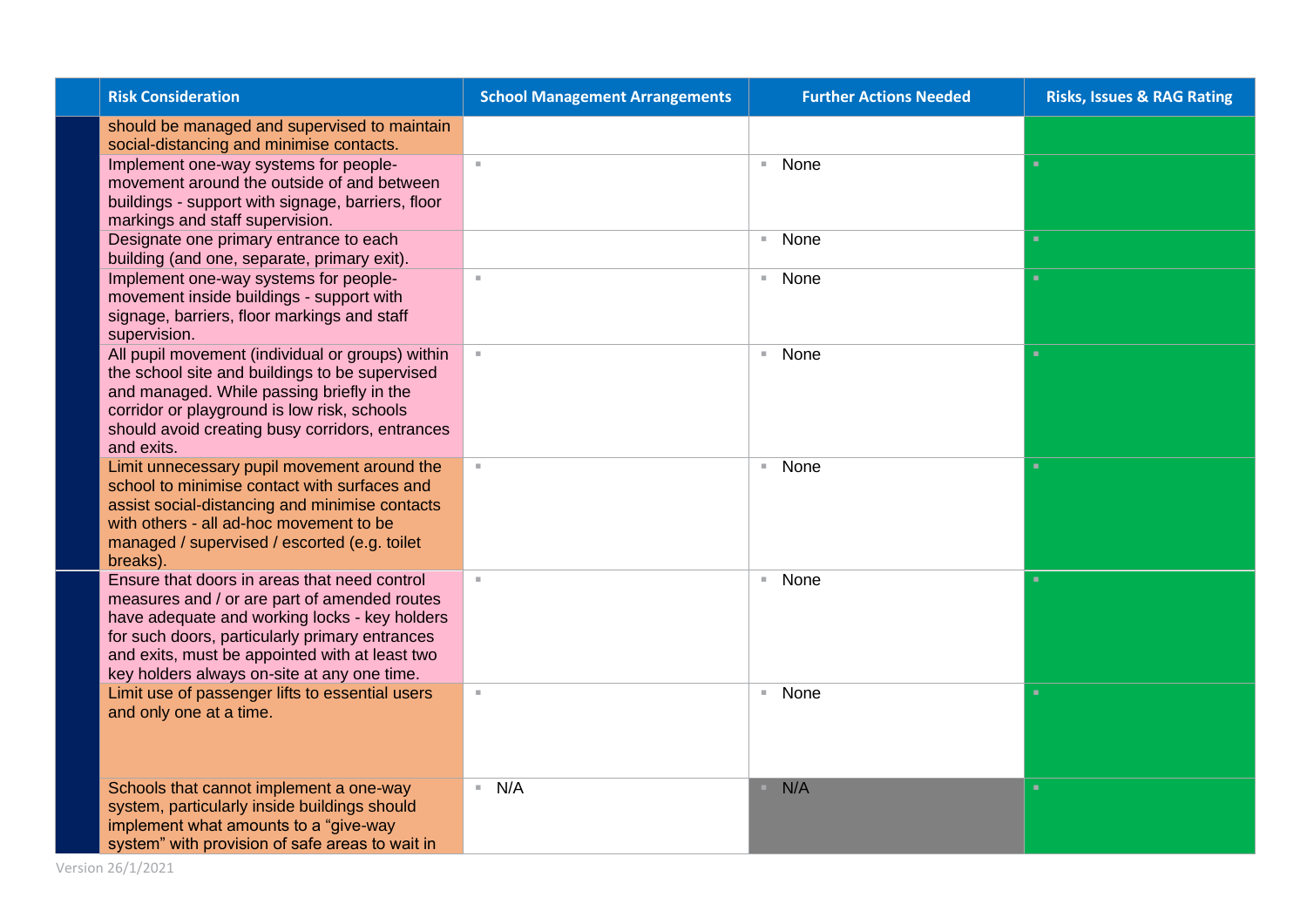| <b>Risk Consideration</b>                                     | <b>School Management Arrangements</b> | <b>Further Actions Needed</b> | <b>Risks, Issues &amp; RAG Rating</b> |
|---------------------------------------------------------------|---------------------------------------|-------------------------------|---------------------------------------|
| should be managed and supervised to maintain                  |                                       |                               |                                       |
| social-distancing and minimise contacts.                      |                                       |                               |                                       |
| Implement one-way systems for people-                         | $\mathbb{R}^d$                        | ■ None                        | ٠                                     |
| movement around the outside of and between                    |                                       |                               |                                       |
| buildings - support with signage, barriers, floor             |                                       |                               |                                       |
| markings and staff supervision.                               |                                       |                               |                                       |
| Designate one primary entrance to each                        |                                       | ■ None                        | ×.                                    |
| building (and one, separate, primary exit).                   |                                       |                               |                                       |
| Implement one-way systems for people-                         | $\mathbb{R}^2$                        | ■ None                        | $\mathbf{u}$                          |
| movement inside buildings - support with                      |                                       |                               |                                       |
| signage, barriers, floor markings and staff                   |                                       |                               |                                       |
| supervision.                                                  |                                       |                               |                                       |
| All pupil movement (individual or groups) within              |                                       | ■ None                        | ×.                                    |
| the school site and buildings to be supervised                |                                       |                               |                                       |
| and managed. While passing briefly in the                     |                                       |                               |                                       |
| corridor or playground is low risk, schools                   |                                       |                               |                                       |
| should avoid creating busy corridors, entrances<br>and exits. |                                       |                               |                                       |
| Limit unnecessary pupil movement around the                   | $\mathcal{M}$ .                       | ■ None                        | ٠                                     |
| school to minimise contact with surfaces and                  |                                       |                               |                                       |
| assist social-distancing and minimise contacts                |                                       |                               |                                       |
| with others - all ad-hoc movement to be                       |                                       |                               |                                       |
| managed / supervised / escorted (e.g. toilet                  |                                       |                               |                                       |
| breaks).                                                      |                                       |                               |                                       |
| Ensure that doors in areas that need control                  | $\mathbb{R}^n$                        | ■ None                        | ٠                                     |
| measures and / or are part of amended routes                  |                                       |                               |                                       |
| have adequate and working locks - key holders                 |                                       |                               |                                       |
| for such doors, particularly primary entrances                |                                       |                               |                                       |
| and exits, must be appointed with at least two                |                                       |                               |                                       |
| key holders always on-site at any one time.                   |                                       |                               |                                       |
| Limit use of passenger lifts to essential users               | $\alpha$                              | ■ None                        | ×.                                    |
| and only one at a time.                                       |                                       |                               |                                       |
|                                                               |                                       |                               |                                       |
|                                                               |                                       |                               |                                       |
|                                                               |                                       |                               |                                       |
| Schools that cannot implement a one-way                       | N/A                                   | N/A                           | $\mathbf{u}$                          |
| system, particularly inside buildings should                  |                                       |                               |                                       |
| implement what amounts to a "give-way                         |                                       |                               |                                       |
| system" with provision of safe areas to wait in               |                                       |                               |                                       |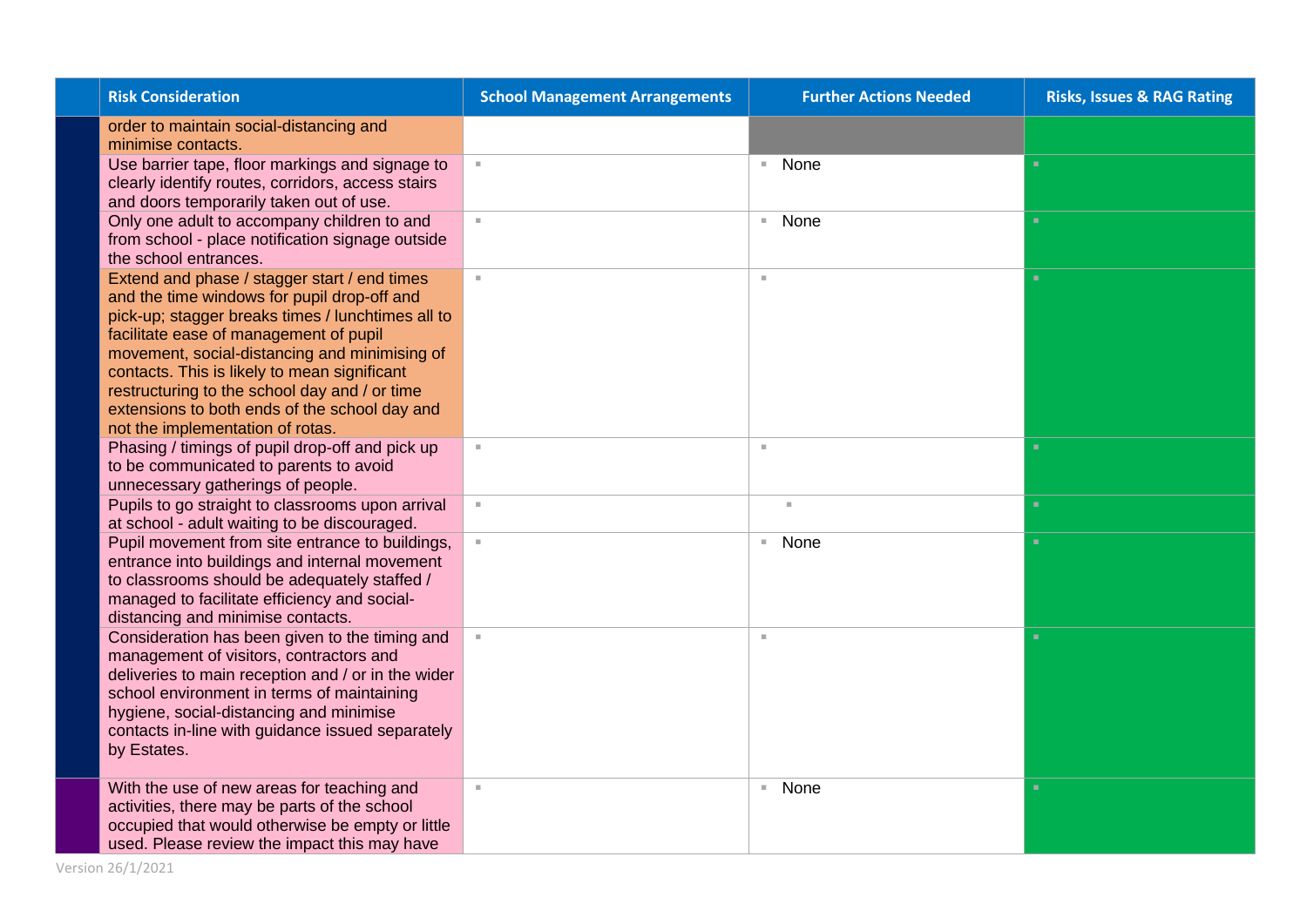| <b>Risk Consideration</b>                                                                                                                                                                                                                                                                                                                                                                                                         | <b>School Management Arrangements</b> | <b>Further Actions Needed</b> | <b>Risks, Issues &amp; RAG Rating</b> |
|-----------------------------------------------------------------------------------------------------------------------------------------------------------------------------------------------------------------------------------------------------------------------------------------------------------------------------------------------------------------------------------------------------------------------------------|---------------------------------------|-------------------------------|---------------------------------------|
| order to maintain social-distancing and<br>minimise contacts.                                                                                                                                                                                                                                                                                                                                                                     |                                       |                               |                                       |
| Use barrier tape, floor markings and signage to<br>clearly identify routes, corridors, access stairs<br>and doors temporarily taken out of use.                                                                                                                                                                                                                                                                                   |                                       | None<br>m.                    | ×.                                    |
| Only one adult to accompany children to and<br>from school - place notification signage outside<br>the school entrances.                                                                                                                                                                                                                                                                                                          | $\mathbb{R}^n$                        | None<br>$\mathbb{R}^n$        | $\mathbf{u}$                          |
| Extend and phase / stagger start / end times<br>and the time windows for pupil drop-off and<br>pick-up; stagger breaks times / lunchtimes all to<br>facilitate ease of management of pupil<br>movement, social-distancing and minimising of<br>contacts. This is likely to mean significant<br>restructuring to the school day and / or time<br>extensions to both ends of the school day and<br>not the implementation of rotas. | $\mathbb{R}^n$                        | $\mathbf{u}$                  | ×.                                    |
| Phasing / timings of pupil drop-off and pick up<br>to be communicated to parents to avoid<br>unnecessary gatherings of people.                                                                                                                                                                                                                                                                                                    | $\mathbb{R}^n$                        | $\mathbb{R}^d$                | $\mathbf{u}$                          |
| Pupils to go straight to classrooms upon arrival<br>at school - adult waiting to be discouraged.                                                                                                                                                                                                                                                                                                                                  | $\mathbb{R}^n$                        | $\mathbf{u}$                  | ×.                                    |
| Pupil movement from site entrance to buildings,<br>entrance into buildings and internal movement<br>to classrooms should be adequately staffed /<br>managed to facilitate efficiency and social-<br>distancing and minimise contacts.                                                                                                                                                                                             |                                       | None<br>$\mathbb{R}^n$ .      | ×.                                    |
| Consideration has been given to the timing and<br>management of visitors, contractors and<br>deliveries to main reception and / or in the wider<br>school environment in terms of maintaining<br>hygiene, social-distancing and minimise<br>contacts in-line with guidance issued separately<br>by Estates.                                                                                                                       |                                       | ×                             | ×.                                    |
| With the use of new areas for teaching and<br>activities, there may be parts of the school<br>occupied that would otherwise be empty or little<br>used. Please review the impact this may have                                                                                                                                                                                                                                    | $\mathbb{R}^n$                        | None<br>$\mathbb{R}^n$        | ×.                                    |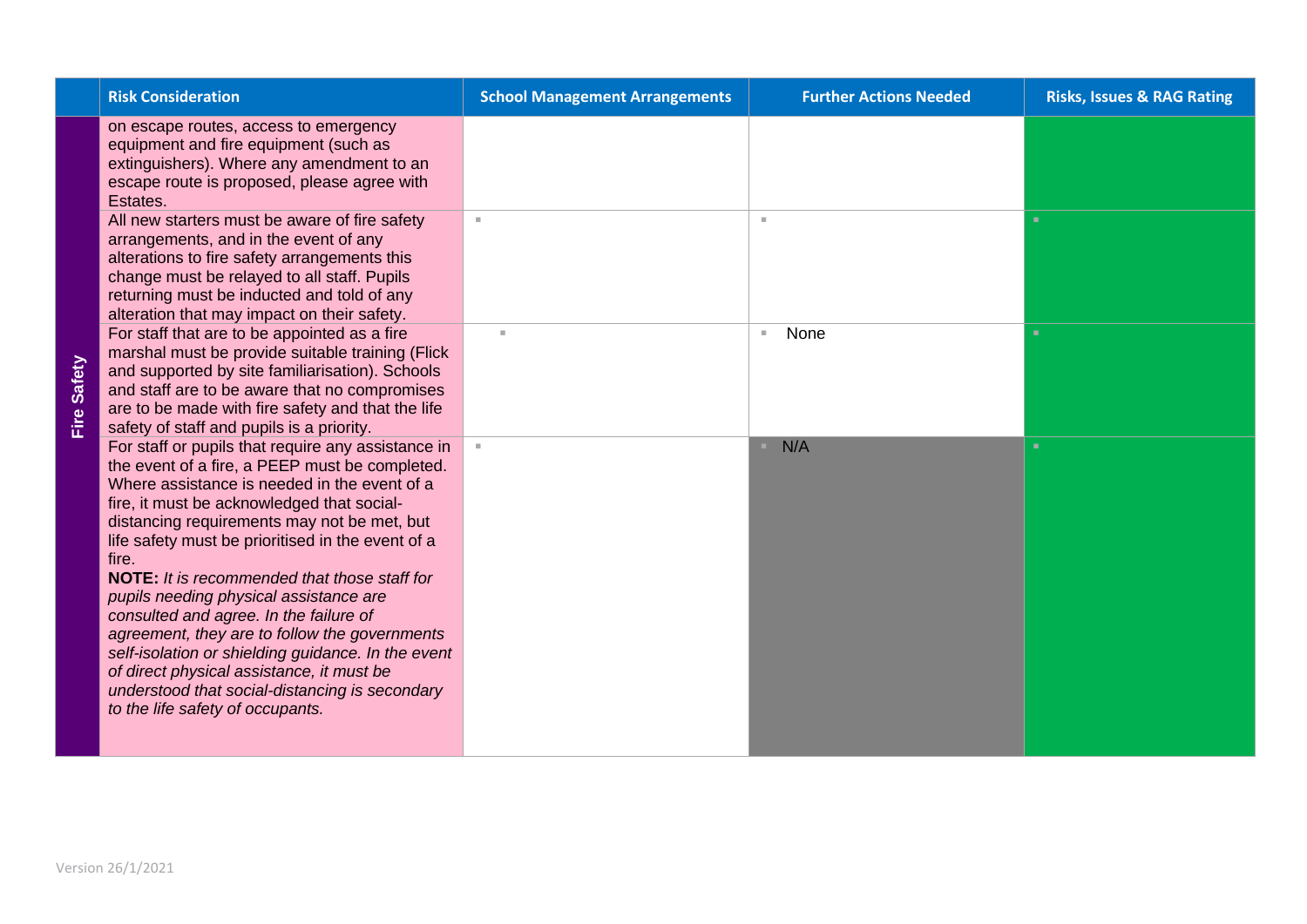| <b>Risk Consideration</b>                                                                                                                                                                                                                                                                                                                                                                                                                                                                                                                                                                                                                                                                            | <b>School Management Arrangements</b> | <b>Further Actions Needed</b> | <b>Risks, Issues &amp; RAG Rating</b> |
|------------------------------------------------------------------------------------------------------------------------------------------------------------------------------------------------------------------------------------------------------------------------------------------------------------------------------------------------------------------------------------------------------------------------------------------------------------------------------------------------------------------------------------------------------------------------------------------------------------------------------------------------------------------------------------------------------|---------------------------------------|-------------------------------|---------------------------------------|
| on escape routes, access to emergency<br>equipment and fire equipment (such as<br>extinguishers). Where any amendment to an<br>escape route is proposed, please agree with<br>Estates.                                                                                                                                                                                                                                                                                                                                                                                                                                                                                                               |                                       |                               |                                       |
| All new starters must be aware of fire safety<br>arrangements, and in the event of any<br>alterations to fire safety arrangements this<br>change must be relayed to all staff. Pupils<br>returning must be inducted and told of any<br>alteration that may impact on their safety.                                                                                                                                                                                                                                                                                                                                                                                                                   | $\mathbf{u}$                          | ×                             | п                                     |
| For staff that are to be appointed as a fire<br>marshal must be provide suitable training (Flick<br>and supported by site familiarisation). Schools<br>and staff are to be aware that no compromises<br>are to be made with fire safety and that the life<br>safety of staff and pupils is a priority.                                                                                                                                                                                                                                                                                                                                                                                               | ×                                     | None<br>×.                    | п                                     |
| For staff or pupils that require any assistance in<br>the event of a fire, a PEEP must be completed.<br>Where assistance is needed in the event of a<br>fire, it must be acknowledged that social-<br>distancing requirements may not be met, but<br>life safety must be prioritised in the event of a<br>fire.<br><b>NOTE:</b> It is recommended that those staff for<br>pupils needing physical assistance are<br>consulted and agree. In the failure of<br>agreement, they are to follow the governments<br>self-isolation or shielding guidance. In the event<br>of direct physical assistance, it must be<br>understood that social-distancing is secondary<br>to the life safety of occupants. | $\mathbb{R}^n$                        | N/A                           | п                                     |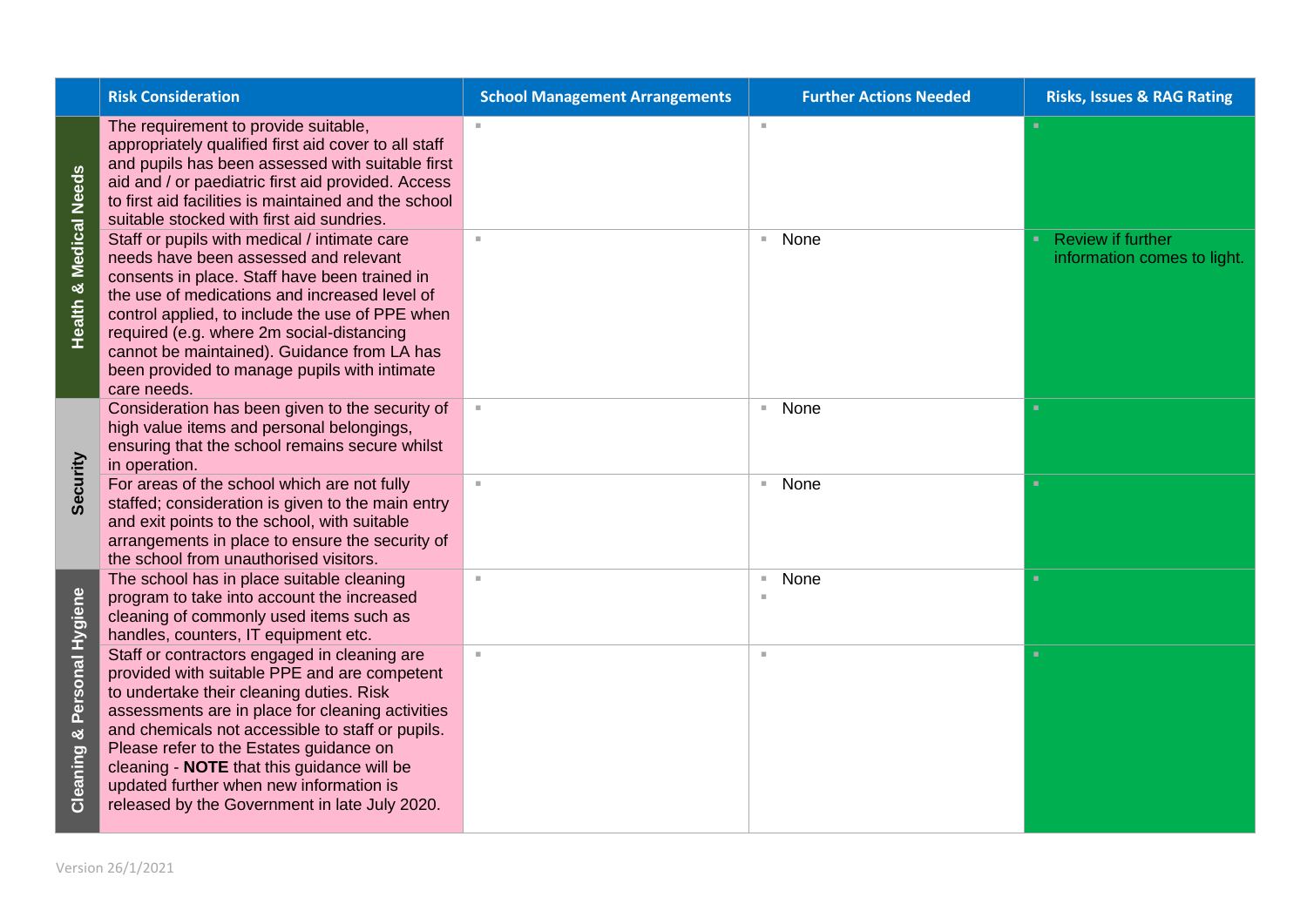|                                                            | <b>Risk Consideration</b>                                                                                                                                                                                                                                                                                                                                                                                                             | <b>School Management Arrangements</b> | <b>Further Actions Needed</b>    | <b>Risks, Issues &amp; RAG Rating</b>                   |
|------------------------------------------------------------|---------------------------------------------------------------------------------------------------------------------------------------------------------------------------------------------------------------------------------------------------------------------------------------------------------------------------------------------------------------------------------------------------------------------------------------|---------------------------------------|----------------------------------|---------------------------------------------------------|
| Medical Needs                                              | The requirement to provide suitable,<br>appropriately qualified first aid cover to all staff<br>and pupils has been assessed with suitable first<br>aid and / or paediatric first aid provided. Access<br>to first aid facilities is maintained and the school<br>suitable stocked with first aid sundries.                                                                                                                           | $\sim$                                | $\mathcal{M}$                    |                                                         |
| ×්<br>Health                                               | Staff or pupils with medical / intimate care<br>needs have been assessed and relevant<br>consents in place. Staff have been trained in<br>the use of medications and increased level of<br>control applied, to include the use of PPE when<br>required (e.g. where 2m social-distancing<br>cannot be maintained). Guidance from LA has<br>been provided to manage pupils with intimate<br>care needs.                                 |                                       | None<br><b>III</b>               | <b>Review if further</b><br>information comes to light. |
| Security                                                   | Consideration has been given to the security of<br>high value items and personal belongings,<br>ensuring that the school remains secure whilst<br>in operation.                                                                                                                                                                                                                                                                       |                                       | None<br>$\mathbf{u}$             | ×                                                       |
|                                                            | For areas of the school which are not fully<br>staffed; consideration is given to the main entry<br>and exit points to the school, with suitable<br>arrangements in place to ensure the security of<br>the school from unauthorised visitors.                                                                                                                                                                                         | $\mathbb{R}^n$                        | None<br>$\mathcal{M}_\mathrm{c}$ | ٠                                                       |
|                                                            | The school has in place suitable cleaning<br>program to take into account the increased<br>cleaning of commonly used items such as<br>handles, counters, IT equipment etc.                                                                                                                                                                                                                                                            | $\mathbf{u}$                          | None<br>$\mathbb{R}^d$<br>×      | ٠                                                       |
| Personal Hygiene<br>×<br>eaning<br>$\overline{\mathbf{o}}$ | Staff or contractors engaged in cleaning are<br>provided with suitable PPE and are competent<br>to undertake their cleaning duties. Risk<br>assessments are in place for cleaning activities<br>and chemicals not accessible to staff or pupils.<br>Please refer to the Estates guidance on<br>cleaning - NOTE that this guidance will be<br>updated further when new information is<br>released by the Government in late July 2020. | $\mathbf{u}$                          | ×                                | ٠                                                       |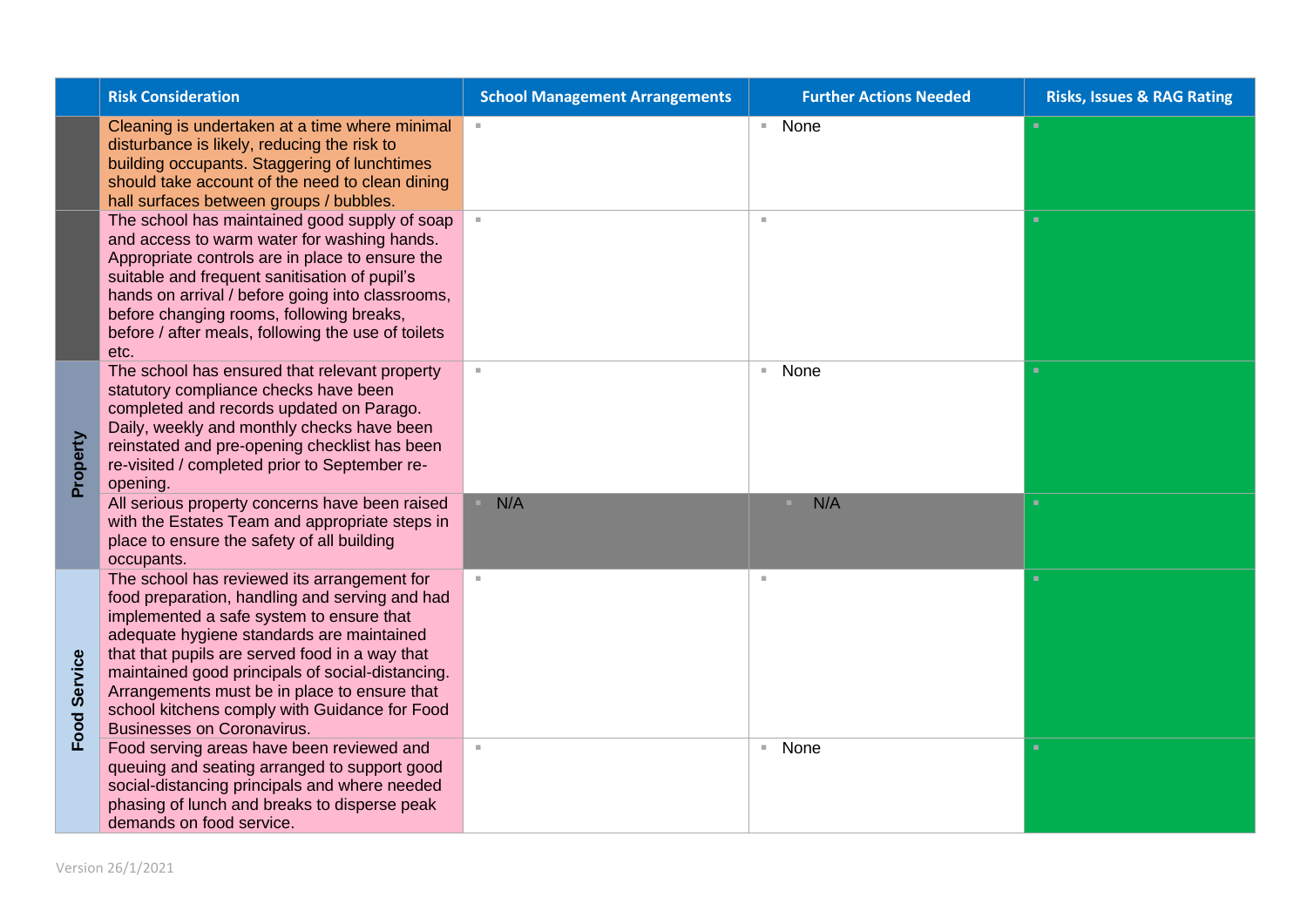|              | <b>Risk Consideration</b>                                                                                                                                                                                                                                                                                                                                                                                                          | <b>School Management Arrangements</b> | <b>Further Actions Needed</b> | <b>Risks, Issues &amp; RAG Rating</b> |
|--------------|------------------------------------------------------------------------------------------------------------------------------------------------------------------------------------------------------------------------------------------------------------------------------------------------------------------------------------------------------------------------------------------------------------------------------------|---------------------------------------|-------------------------------|---------------------------------------|
|              | Cleaning is undertaken at a time where minimal<br>disturbance is likely, reducing the risk to<br>building occupants. Staggering of lunchtimes<br>should take account of the need to clean dining<br>hall surfaces between groups / bubbles.                                                                                                                                                                                        | $\mathbb{R}^n$                        | ■ None                        |                                       |
|              | The school has maintained good supply of soap<br>and access to warm water for washing hands.<br>Appropriate controls are in place to ensure the<br>suitable and frequent sanitisation of pupil's<br>hands on arrival / before going into classrooms,<br>before changing rooms, following breaks,<br>before / after meals, following the use of toilets<br>etc.                                                                     |                                       | ш                             | ٠                                     |
| Property     | The school has ensured that relevant property<br>statutory compliance checks have been<br>completed and records updated on Parago.<br>Daily, weekly and monthly checks have been<br>reinstated and pre-opening checklist has been<br>re-visited / completed prior to September re-<br>opening.                                                                                                                                     |                                       | None<br>$\mathbb{R}^n$        |                                       |
|              | All serious property concerns have been raised<br>with the Estates Team and appropriate steps in<br>place to ensure the safety of all building<br>occupants.                                                                                                                                                                                                                                                                       | N/A                                   | N/A<br>٠.                     | п.                                    |
| Food Service | The school has reviewed its arrangement for<br>food preparation, handling and serving and had<br>implemented a safe system to ensure that<br>adequate hygiene standards are maintained<br>that that pupils are served food in a way that<br>maintained good principals of social-distancing.<br>Arrangements must be in place to ensure that<br>school kitchens comply with Guidance for Food<br><b>Businesses on Coronavirus.</b> | $\mathbb{R}^n$                        | $\mathbb{R}^n$                | ۰.                                    |
|              | Food serving areas have been reviewed and<br>queuing and seating arranged to support good<br>social-distancing principals and where needed<br>phasing of lunch and breaks to disperse peak<br>demands on food service.                                                                                                                                                                                                             | $\mathbb{R}^d$                        | ■ None                        | ٠                                     |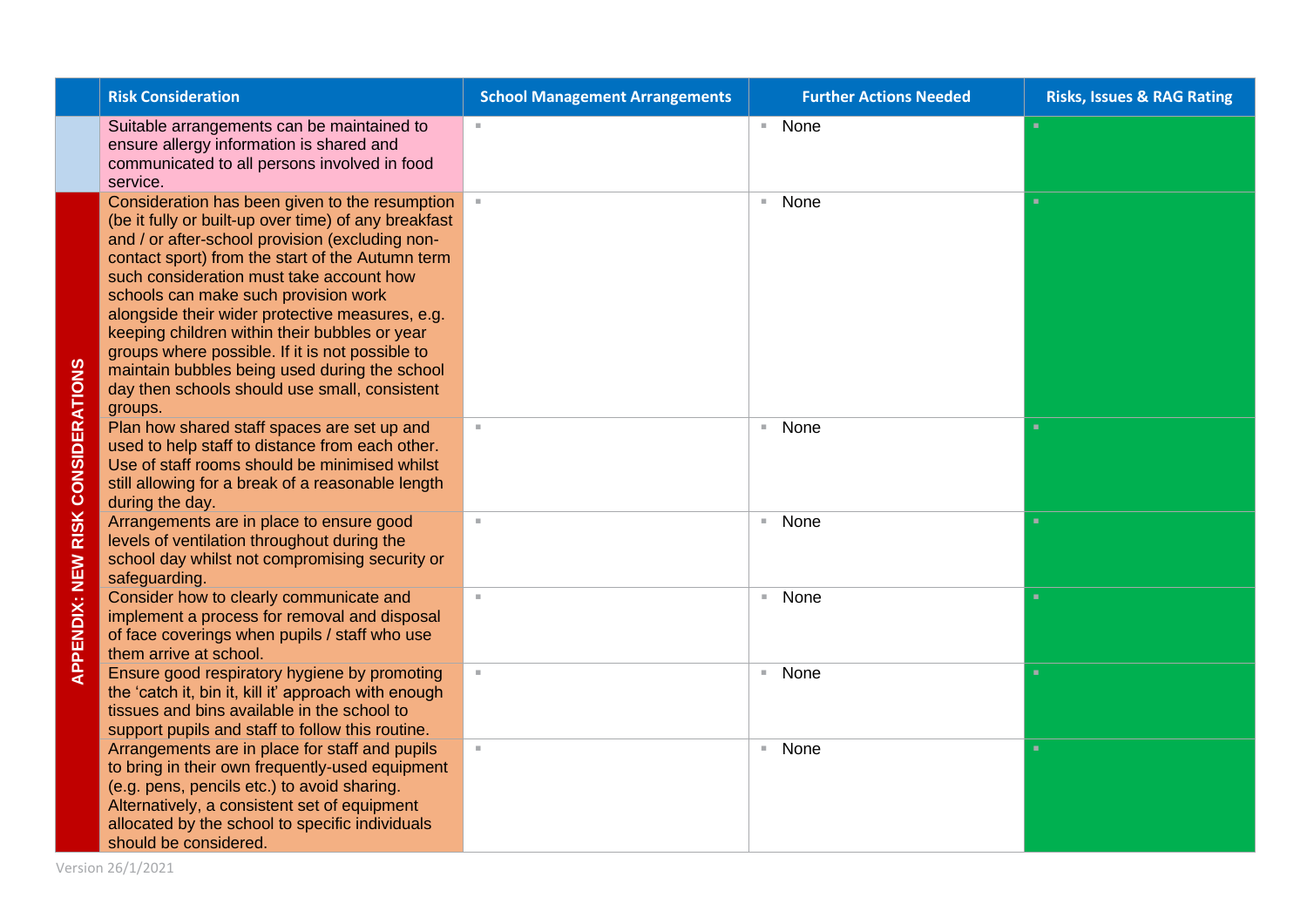|                       | <b>Risk Consideration</b>                                                                                                                                                                                                                                                                                                                                                                                                                                                                                                                                             | <b>School Management Arrangements</b> | <b>Further Actions Needed</b> | <b>Risks, Issues &amp; RAG Rating</b> |
|-----------------------|-----------------------------------------------------------------------------------------------------------------------------------------------------------------------------------------------------------------------------------------------------------------------------------------------------------------------------------------------------------------------------------------------------------------------------------------------------------------------------------------------------------------------------------------------------------------------|---------------------------------------|-------------------------------|---------------------------------------|
|                       | Suitable arrangements can be maintained to<br>ensure allergy information is shared and<br>communicated to all persons involved in food<br>service.                                                                                                                                                                                                                                                                                                                                                                                                                    | H.                                    | ■ None                        |                                       |
|                       | Consideration has been given to the resumption<br>(be it fully or built-up over time) of any breakfast<br>and / or after-school provision (excluding non-<br>contact sport) from the start of the Autumn term<br>such consideration must take account how<br>schools can make such provision work<br>alongside their wider protective measures, e.g.<br>keeping children within their bubbles or year<br>groups where possible. If it is not possible to<br>maintain bubbles being used during the school<br>day then schools should use small, consistent<br>groups. |                                       | None<br>$\mathbb{R}^n$        | ٠                                     |
| <b>CONSIDERATIONS</b> | Plan how shared staff spaces are set up and<br>used to help staff to distance from each other.<br>Use of staff rooms should be minimised whilst<br>still allowing for a break of a reasonable length<br>during the day.                                                                                                                                                                                                                                                                                                                                               | ×.                                    | None<br>×.                    |                                       |
| <b>RISK</b>           | Arrangements are in place to ensure good<br>levels of ventilation throughout during the<br>school day whilst not compromising security or<br>safeguarding.                                                                                                                                                                                                                                                                                                                                                                                                            | ×.                                    | None<br>π.                    | ٠                                     |
| <b>APPENDIX: NEW</b>  | Consider how to clearly communicate and<br>implement a process for removal and disposal<br>of face coverings when pupils / staff who use<br>them arrive at school.                                                                                                                                                                                                                                                                                                                                                                                                    | $\mathbb{R}^n$                        | ■ None                        | ٠                                     |
|                       | Ensure good respiratory hygiene by promoting<br>the 'catch it, bin it, kill it' approach with enough<br>tissues and bins available in the school to<br>support pupils and staff to follow this routine.                                                                                                                                                                                                                                                                                                                                                               | $\mathbb{R}^n$                        | ■ None                        | ٠                                     |
|                       | Arrangements are in place for staff and pupils<br>to bring in their own frequently-used equipment<br>(e.g. pens, pencils etc.) to avoid sharing.<br>Alternatively, a consistent set of equipment<br>allocated by the school to specific individuals<br>should be considered.                                                                                                                                                                                                                                                                                          |                                       | None<br>н.                    |                                       |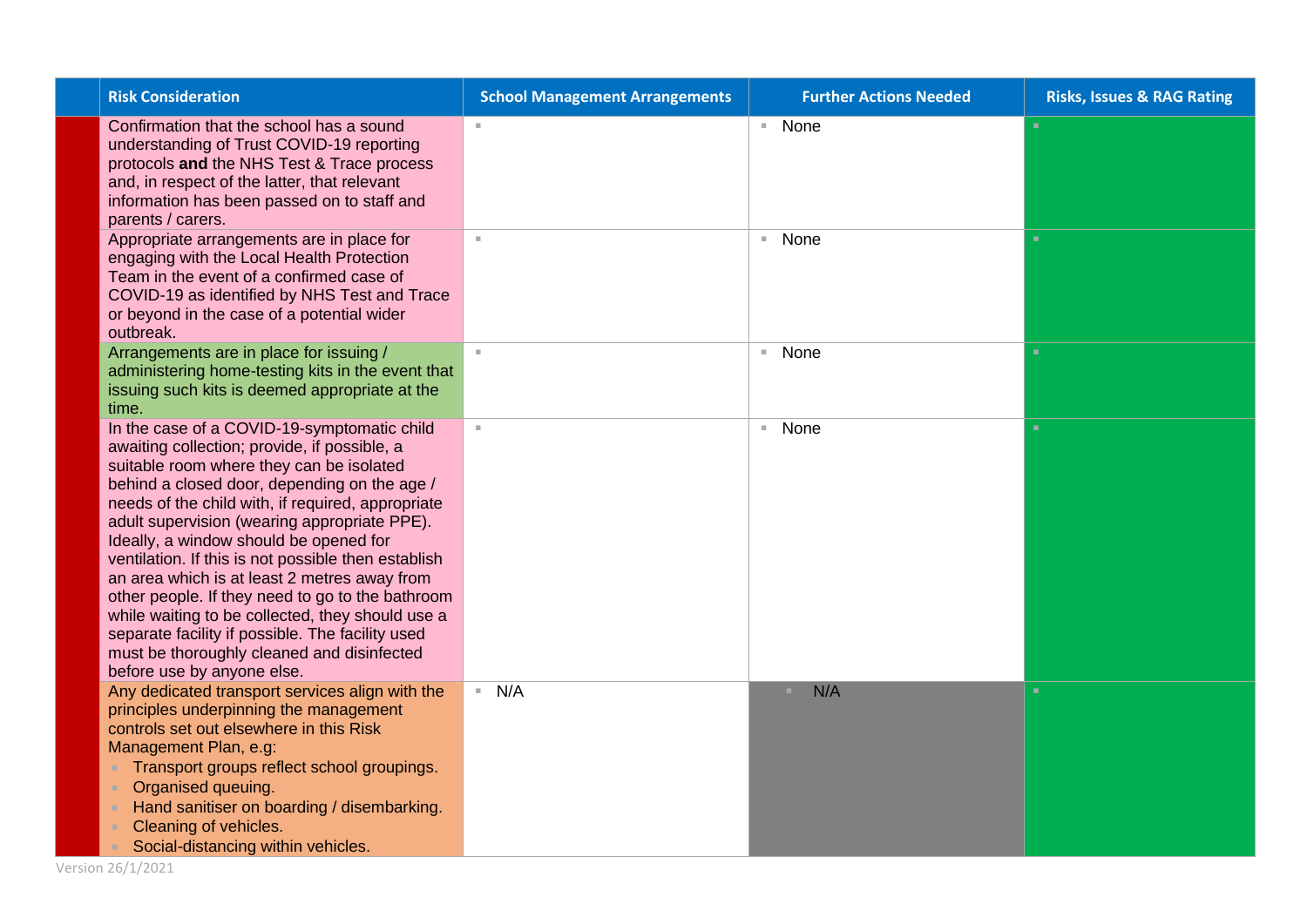| <b>Risk Consideration</b>                                                                                                                                                                                                                                                                                                                                                                                                                                                                                                                                                                                                                                                             | <b>School Management Arrangements</b> | <b>Further Actions Needed</b> | <b>Risks, Issues &amp; RAG Rating</b> |
|---------------------------------------------------------------------------------------------------------------------------------------------------------------------------------------------------------------------------------------------------------------------------------------------------------------------------------------------------------------------------------------------------------------------------------------------------------------------------------------------------------------------------------------------------------------------------------------------------------------------------------------------------------------------------------------|---------------------------------------|-------------------------------|---------------------------------------|
| Confirmation that the school has a sound<br>understanding of Trust COVID-19 reporting<br>protocols and the NHS Test & Trace process<br>and, in respect of the latter, that relevant<br>information has been passed on to staff and<br>parents / carers.                                                                                                                                                                                                                                                                                                                                                                                                                               | $\mathbb{R}^n$                        | ■ None                        | $\mathbf{u}$                          |
| Appropriate arrangements are in place for<br>engaging with the Local Health Protection<br>Team in the event of a confirmed case of<br>COVID-19 as identified by NHS Test and Trace<br>or beyond in the case of a potential wider<br>outbreak.                                                                                                                                                                                                                                                                                                                                                                                                                                         | $\mathcal{H}$ .                       | None<br>m.                    | $\mathbf{u}$                          |
| Arrangements are in place for issuing /<br>administering home-testing kits in the event that<br>issuing such kits is deemed appropriate at the<br>time.                                                                                                                                                                                                                                                                                                                                                                                                                                                                                                                               | $\mathbb{R}^n$                        | None<br>m.                    | $\mathbf{u}$                          |
| In the case of a COVID-19-symptomatic child<br>awaiting collection; provide, if possible, a<br>suitable room where they can be isolated<br>behind a closed door, depending on the age /<br>needs of the child with, if required, appropriate<br>adult supervision (wearing appropriate PPE).<br>Ideally, a window should be opened for<br>ventilation. If this is not possible then establish<br>an area which is at least 2 metres away from<br>other people. If they need to go to the bathroom<br>while waiting to be collected, they should use a<br>separate facility if possible. The facility used<br>must be thoroughly cleaned and disinfected<br>before use by anyone else. | $\mathbb{R}^n$                        | None<br>m.                    | $\mathbf{u}$                          |
| Any dedicated transport services align with the<br>principles underpinning the management<br>controls set out elsewhere in this Risk<br>Management Plan, e.g:<br>Transport groups reflect school groupings.<br>Organised queuing.<br>Hand sanitiser on boarding / disembarking.<br>Cleaning of vehicles.<br>Social-distancing within vehicles.                                                                                                                                                                                                                                                                                                                                        | N/A                                   | N/A<br>×                      | ٠                                     |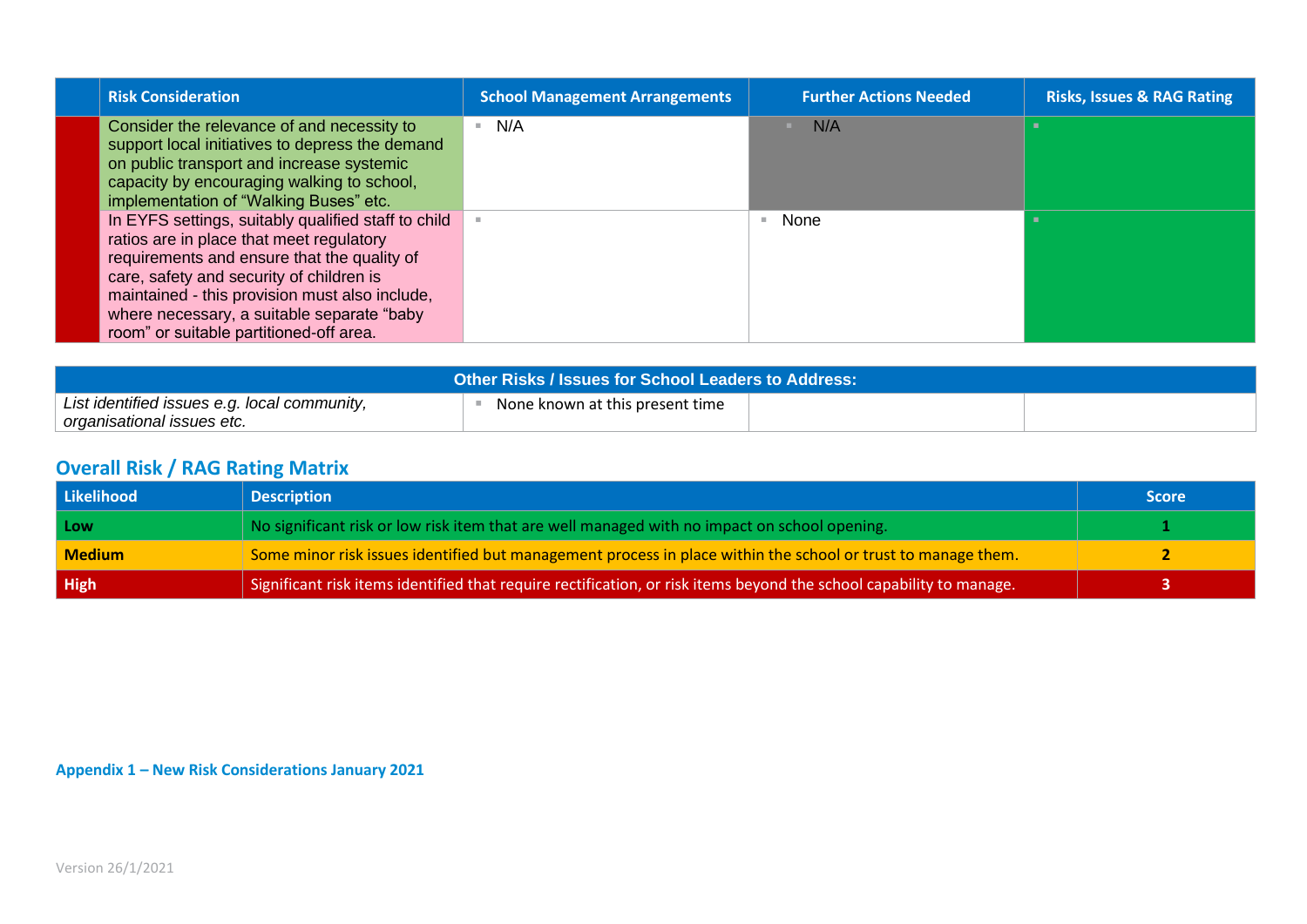| <b>Risk Consideration</b>                                                                                                                                                                                                                                                                                                             | <b>School Management Arrangements</b> | <b>Further Actions Needed</b> | <b>Risks, Issues &amp; RAG Rating</b> |
|---------------------------------------------------------------------------------------------------------------------------------------------------------------------------------------------------------------------------------------------------------------------------------------------------------------------------------------|---------------------------------------|-------------------------------|---------------------------------------|
| Consider the relevance of and necessity to<br>support local initiatives to depress the demand<br>on public transport and increase systemic<br>capacity by encouraging walking to school,<br>implementation of "Walking Buses" etc.                                                                                                    | N/A                                   | N/A                           |                                       |
| In EYFS settings, suitably qualified staff to child<br>ratios are in place that meet regulatory<br>requirements and ensure that the quality of<br>care, safety and security of children is<br>maintained - this provision must also include,<br>where necessary, a suitable separate "baby<br>room" or suitable partitioned-off area. |                                       | None                          |                                       |

| <b>Other Risks / Issues for School Leaders to Address:</b> |                                 |  |  |  |  |
|------------------------------------------------------------|---------------------------------|--|--|--|--|
| List identified issues e.g. local community,               | None known at this present time |  |  |  |  |
| organisational issues etc.                                 |                                 |  |  |  |  |

## **Overall Risk / RAG Rating Matrix**

| Likelihood    | <b>Description</b>                                                                                                  | <b>Score</b> |
|---------------|---------------------------------------------------------------------------------------------------------------------|--------------|
| Low           | No significant risk or low risk item that are well managed with no impact on school opening.                        |              |
| <b>Medium</b> | Some minor risk issues identified but management process in place within the school or trust to manage them.        |              |
| High          | Significant risk items identified that require rectification, or risk items beyond the school capability to manage. |              |

**Appendix 1 – New Risk Considerations January 2021**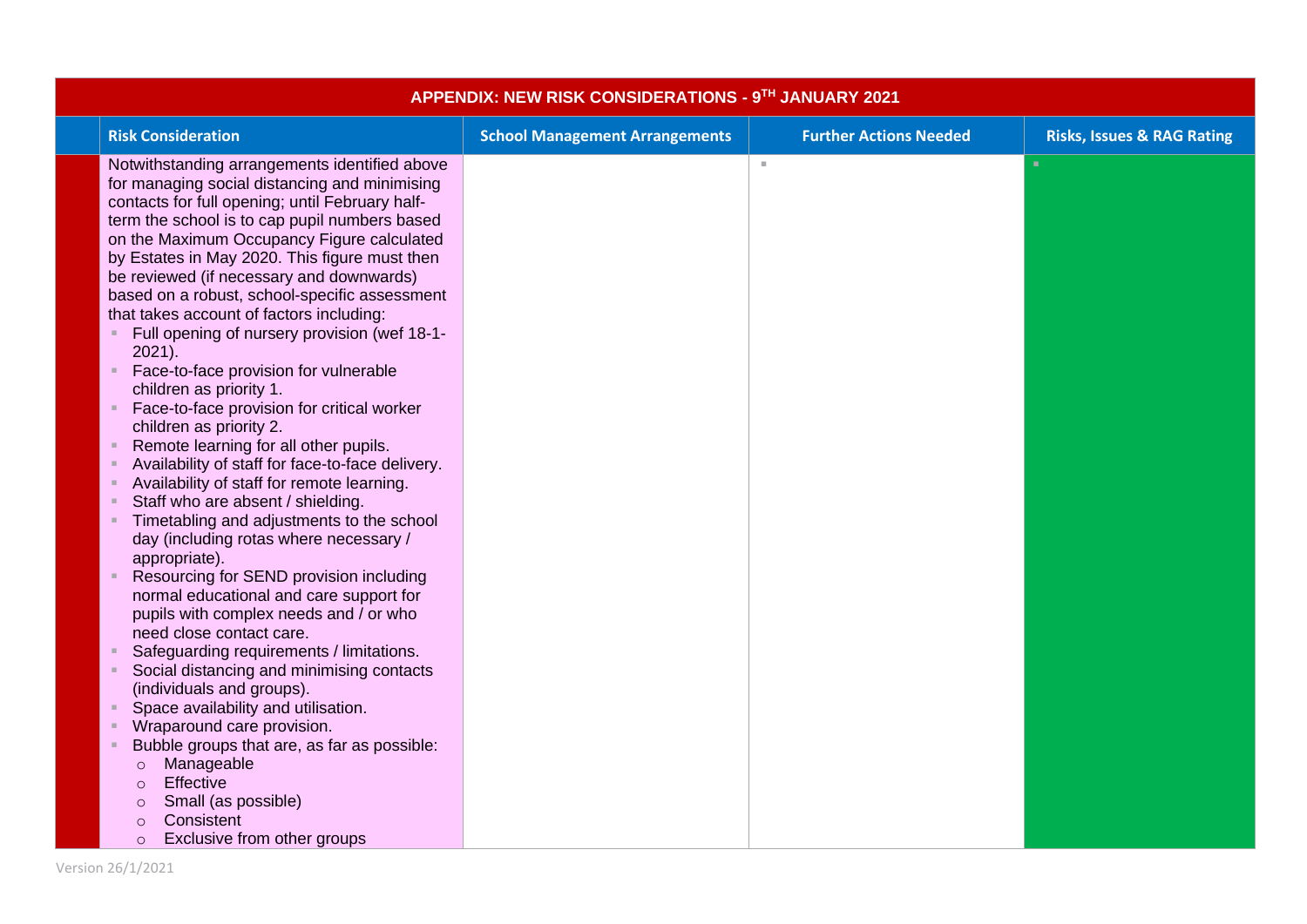| APPENDIX: NEW RISK CONSIDERATIONS - 9TH JANUARY 2021                                             |                                       |                               |                                       |  |  |  |
|--------------------------------------------------------------------------------------------------|---------------------------------------|-------------------------------|---------------------------------------|--|--|--|
| <b>Risk Consideration</b>                                                                        | <b>School Management Arrangements</b> | <b>Further Actions Needed</b> | <b>Risks, Issues &amp; RAG Rating</b> |  |  |  |
| Notwithstanding arrangements identified above                                                    |                                       | $\mathbb{R}^n$                |                                       |  |  |  |
| for managing social distancing and minimising                                                    |                                       |                               |                                       |  |  |  |
| contacts for full opening; until February half-<br>term the school is to cap pupil numbers based |                                       |                               |                                       |  |  |  |
| on the Maximum Occupancy Figure calculated                                                       |                                       |                               |                                       |  |  |  |
| by Estates in May 2020. This figure must then                                                    |                                       |                               |                                       |  |  |  |
| be reviewed (if necessary and downwards)                                                         |                                       |                               |                                       |  |  |  |
| based on a robust, school-specific assessment                                                    |                                       |                               |                                       |  |  |  |
| that takes account of factors including:                                                         |                                       |                               |                                       |  |  |  |
| Full opening of nursery provision (wef 18-1-                                                     |                                       |                               |                                       |  |  |  |
| 2021).                                                                                           |                                       |                               |                                       |  |  |  |
| Face-to-face provision for vulnerable                                                            |                                       |                               |                                       |  |  |  |
| children as priority 1.                                                                          |                                       |                               |                                       |  |  |  |
| Face-to-face provision for critical worker                                                       |                                       |                               |                                       |  |  |  |
| children as priority 2.                                                                          |                                       |                               |                                       |  |  |  |
| Remote learning for all other pupils.                                                            |                                       |                               |                                       |  |  |  |
| Availability of staff for face-to-face delivery.                                                 |                                       |                               |                                       |  |  |  |
| Availability of staff for remote learning.<br>Staff who are absent / shielding.                  |                                       |                               |                                       |  |  |  |
| Timetabling and adjustments to the school                                                        |                                       |                               |                                       |  |  |  |
| day (including rotas where necessary /                                                           |                                       |                               |                                       |  |  |  |
| appropriate).                                                                                    |                                       |                               |                                       |  |  |  |
| Resourcing for SEND provision including                                                          |                                       |                               |                                       |  |  |  |
| normal educational and care support for                                                          |                                       |                               |                                       |  |  |  |
| pupils with complex needs and / or who                                                           |                                       |                               |                                       |  |  |  |
| need close contact care.                                                                         |                                       |                               |                                       |  |  |  |
| Safeguarding requirements / limitations.                                                         |                                       |                               |                                       |  |  |  |
| Social distancing and minimising contacts                                                        |                                       |                               |                                       |  |  |  |
| (individuals and groups).                                                                        |                                       |                               |                                       |  |  |  |
| Space availability and utilisation.                                                              |                                       |                               |                                       |  |  |  |
| Wraparound care provision.                                                                       |                                       |                               |                                       |  |  |  |
| Bubble groups that are, as far as possible:<br>Manageable                                        |                                       |                               |                                       |  |  |  |
| $\circ$<br>Effective<br>$\circ$                                                                  |                                       |                               |                                       |  |  |  |
| Small (as possible)<br>$\circ$                                                                   |                                       |                               |                                       |  |  |  |
| Consistent<br>$\circ$                                                                            |                                       |                               |                                       |  |  |  |
| Exclusive from other groups<br>$\circ$                                                           |                                       |                               |                                       |  |  |  |

Version 26/1/2021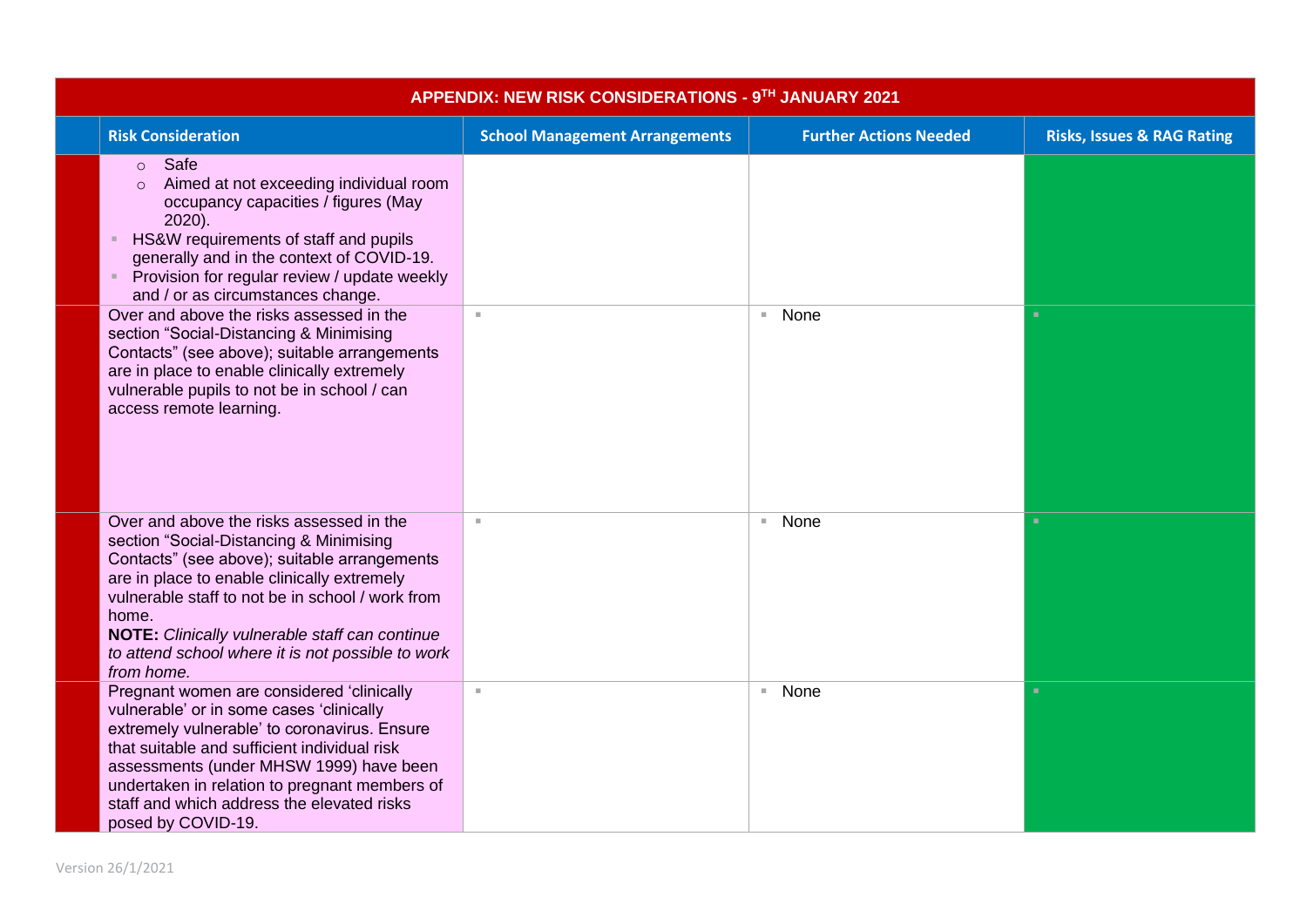| APPENDIX: NEW RISK CONSIDERATIONS - 9TH JANUARY 2021                                                                                                                                                                                                                                                                                                                        |                                       |                               |                                       |  |  |  |
|-----------------------------------------------------------------------------------------------------------------------------------------------------------------------------------------------------------------------------------------------------------------------------------------------------------------------------------------------------------------------------|---------------------------------------|-------------------------------|---------------------------------------|--|--|--|
| <b>Risk Consideration</b>                                                                                                                                                                                                                                                                                                                                                   | <b>School Management Arrangements</b> | <b>Further Actions Needed</b> | <b>Risks, Issues &amp; RAG Rating</b> |  |  |  |
| Safe<br>$\circ$<br>Aimed at not exceeding individual room<br>$\Omega$<br>occupancy capacities / figures (May<br>2020).<br>HS&W requirements of staff and pupils<br>generally and in the context of COVID-19.<br>Provision for regular review / update weekly<br>and / or as circumstances change.                                                                           |                                       |                               |                                       |  |  |  |
| Over and above the risks assessed in the<br>section "Social-Distancing & Minimising<br>Contacts" (see above); suitable arrangements<br>are in place to enable clinically extremely<br>vulnerable pupils to not be in school / can<br>access remote learning.                                                                                                                | $\mathbb{R}^d$                        | ■ None                        | ٠                                     |  |  |  |
| Over and above the risks assessed in the<br>section "Social-Distancing & Minimising<br>Contacts" (see above); suitable arrangements<br>are in place to enable clinically extremely<br>vulnerable staff to not be in school / work from<br>home.<br><b>NOTE:</b> Clinically vulnerable staff can continue<br>to attend school where it is not possible to work<br>from home. |                                       | None<br>×.                    | ٠                                     |  |  |  |
| Pregnant women are considered 'clinically<br>vulnerable' or in some cases 'clinically<br>extremely vulnerable' to coronavirus. Ensure<br>that suitable and sufficient individual risk<br>assessments (under MHSW 1999) have been<br>undertaken in relation to pregnant members of<br>staff and which address the elevated risks<br>posed by COVID-19.                       | $\alpha$                              | ■ None                        | ٠                                     |  |  |  |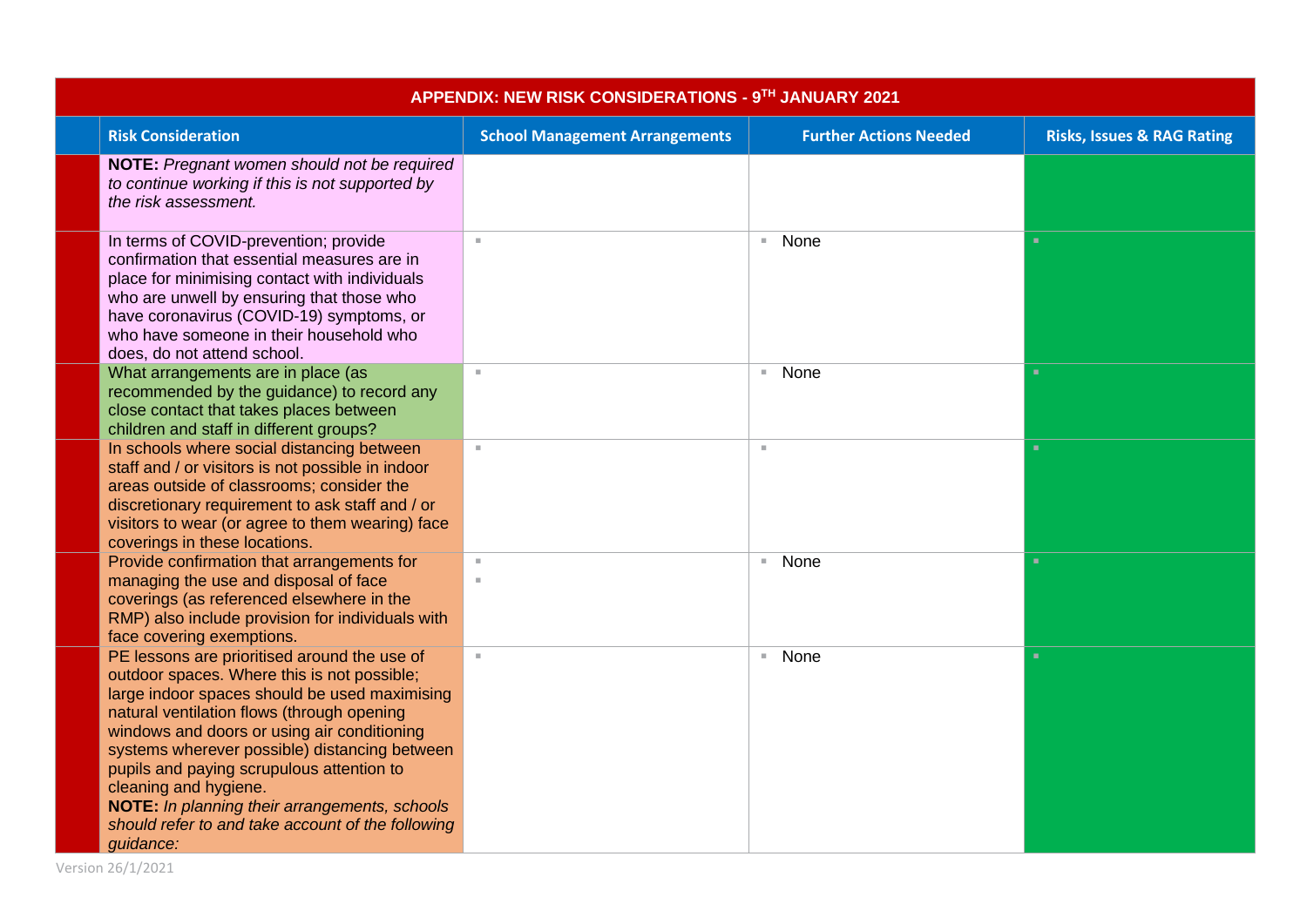| APPENDIX: NEW RISK CONSIDERATIONS - 9TH JANUARY 2021                                                                                                                                                                                                                                                                                                                                                                                                                                |                                       |                                  |                                       |  |  |  |
|-------------------------------------------------------------------------------------------------------------------------------------------------------------------------------------------------------------------------------------------------------------------------------------------------------------------------------------------------------------------------------------------------------------------------------------------------------------------------------------|---------------------------------------|----------------------------------|---------------------------------------|--|--|--|
| <b>Risk Consideration</b>                                                                                                                                                                                                                                                                                                                                                                                                                                                           | <b>School Management Arrangements</b> | <b>Further Actions Needed</b>    | <b>Risks, Issues &amp; RAG Rating</b> |  |  |  |
| NOTE: Pregnant women should not be required<br>to continue working if this is not supported by<br>the risk assessment.                                                                                                                                                                                                                                                                                                                                                              |                                       |                                  |                                       |  |  |  |
| In terms of COVID-prevention; provide<br>confirmation that essential measures are in<br>place for minimising contact with individuals<br>who are unwell by ensuring that those who<br>have coronavirus (COVID-19) symptoms, or<br>who have someone in their household who<br>does, do not attend school.                                                                                                                                                                            | $\alpha$                              | None<br>$\mathbb{R}^n$           | ٠                                     |  |  |  |
| What arrangements are in place (as<br>recommended by the guidance) to record any<br>close contact that takes places between<br>children and staff in different groups?                                                                                                                                                                                                                                                                                                              | $\mathbf{u}$                          | None<br>$\mathbb{R}^n$           | л.                                    |  |  |  |
| In schools where social distancing between<br>staff and / or visitors is not possible in indoor<br>areas outside of classrooms; consider the<br>discretionary requirement to ask staff and / or<br>visitors to wear (or agree to them wearing) face<br>coverings in these locations.                                                                                                                                                                                                | $\bar{a}$                             | $\alpha$                         | ٠                                     |  |  |  |
| Provide confirmation that arrangements for<br>managing the use and disposal of face<br>coverings (as referenced elsewhere in the<br>RMP) also include provision for individuals with<br>face covering exemptions.                                                                                                                                                                                                                                                                   | $\mathbf{u}$                          | None<br>$\mathcal{M}_\mathrm{c}$ | ٠                                     |  |  |  |
| PE lessons are prioritised around the use of<br>outdoor spaces. Where this is not possible;<br>large indoor spaces should be used maximising<br>natural ventilation flows (through opening<br>windows and doors or using air conditioning<br>systems wherever possible) distancing between<br>pupils and paying scrupulous attention to<br>cleaning and hygiene.<br>NOTE: In planning their arrangements, schools<br>should refer to and take account of the following<br>guidance: | $\mathbb{R}^d$                        | None<br>$\mathcal{M}$            | ٠                                     |  |  |  |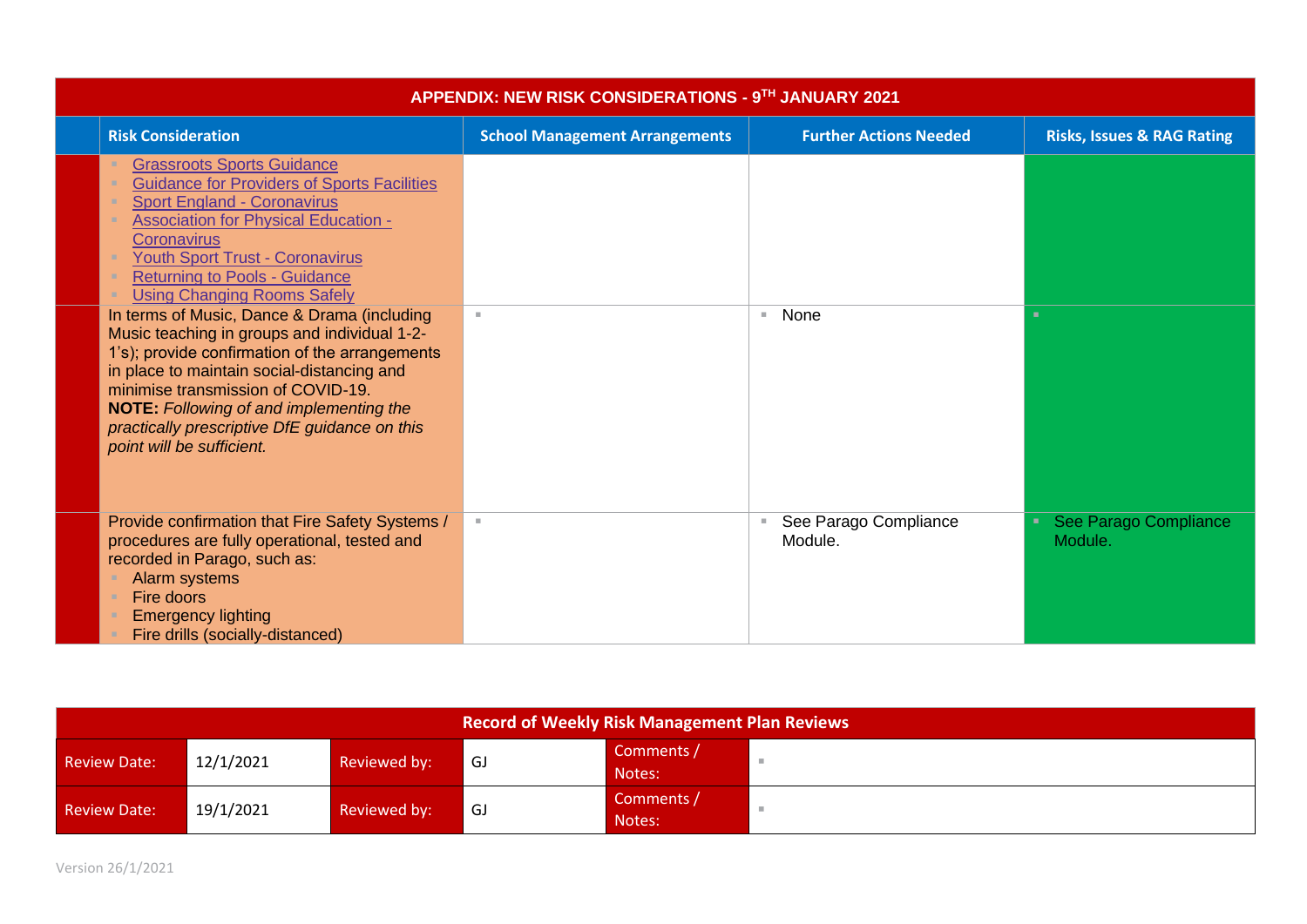| APPENDIX: NEW RISK CONSIDERATIONS - 9TH JANUARY 2021                                                                                                                                                                                                                                                                                                              |                                       |                                        |                                       |  |  |
|-------------------------------------------------------------------------------------------------------------------------------------------------------------------------------------------------------------------------------------------------------------------------------------------------------------------------------------------------------------------|---------------------------------------|----------------------------------------|---------------------------------------|--|--|
| <b>Risk Consideration</b>                                                                                                                                                                                                                                                                                                                                         | <b>School Management Arrangements</b> | <b>Further Actions Needed</b>          | <b>Risks, Issues &amp; RAG Rating</b> |  |  |
| <b>Grassroots Sports Guidance</b><br><b>Guidance for Providers of Sports Facilities</b><br><b>Sport England - Coronavirus</b><br><b>Association for Physical Education -</b><br><b>Coronavirus</b><br><b>Youth Sport Trust - Coronavirus</b><br><b>Returning to Pools - Guidance</b><br><b>Using Changing Rooms Safely</b>                                        |                                       |                                        |                                       |  |  |
| In terms of Music, Dance & Drama (including<br>Music teaching in groups and individual 1-2-<br>1's); provide confirmation of the arrangements<br>in place to maintain social-distancing and<br>minimise transmission of COVID-19.<br><b>NOTE:</b> Following of and implementing the<br>practically prescriptive DfE guidance on this<br>point will be sufficient. | $\mathbb{R}^d$                        | None<br>н.                             | ۰.                                    |  |  |
| Provide confirmation that Fire Safety Systems /<br>procedures are fully operational, tested and<br>recorded in Parago, such as:<br>Alarm systems<br>Fire doors<br><b>Emergency lighting</b><br>Fire drills (socially-distanced)                                                                                                                                   | $\mathcal{M}$ .                       | See Parago Compliance<br>×.<br>Module. | See Parago Compliance<br>Module.      |  |  |

| Record of Weekly Risk Management Plan Reviews |           |              |    |                      |  |
|-----------------------------------------------|-----------|--------------|----|----------------------|--|
| <b>Review Date:</b>                           | 12/1/2021 | Reviewed by: | GJ | Comments /<br>Notes: |  |
| <b>Review Date:</b>                           | 19/1/2021 | Reviewed by: | GJ | Comments /<br>Notes: |  |